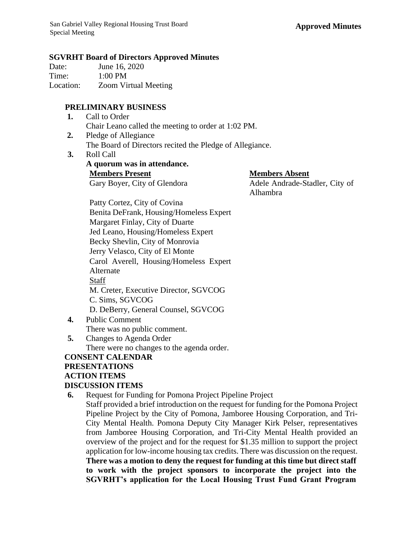#### **SGVRHT Board of Directors Approved Minutes**

| Date:     | June 16, 2020               |
|-----------|-----------------------------|
| Time:     | $1:00$ PM                   |
| Location: | <b>Zoom Virtual Meeting</b> |

## **PRELIMINARY BUSINESS**

- **1.** Call to Order Chair Leano called the meeting to order at 1:02 PM.
- **2.** Pledge of Allegiance The Board of Directors recited the Pledge of Allegiance.
- **3.** Roll Call

**A quorum was in attendance. Members Present Members Absent**

Gary Boyer, City of Glendora Adele Andrade-Stadler, City of Alhambra

Patty Cortez, City of Covina Benita DeFrank, Housing/Homeless Expert Margaret Finlay, City of Duarte Jed Leano, Housing/Homeless Expert Becky Shevlin, City of Monrovia Jerry Velasco, City of El Monte Carol Averell, Housing/Homeless Expert Alternate Staff M. Creter, Executive Director, SGVCOG C. Sims, SGVCOG D. DeBerry, General Counsel, SGVCOG

- **4.** Public Comment There was no public comment.
- **5.** Changes to Agenda Order There were no changes to the agenda order.

## **CONSENT CALENDAR PRESENTATIONS ACTION ITEMS DISCUSSION ITEMS**

**6.** Request for Funding for Pomona Project Pipeline Project Staff provided a brief introduction on the request for funding for the Pomona Project Pipeline Project by the City of Pomona, Jamboree Housing Corporation, and Tri-City Mental Health. Pomona Deputy City Manager Kirk Pelser, representatives from Jamboree Housing Corporation, and Tri-City Mental Health provided an overview of the project and for the request for \$1.35 million to support the project application for low-income housing tax credits. There was discussion on the request. **There was a motion to deny the request for funding at this time but direct staff to work with the project sponsors to incorporate the project into the SGVRHT's application for the Local Housing Trust Fund Grant Program**